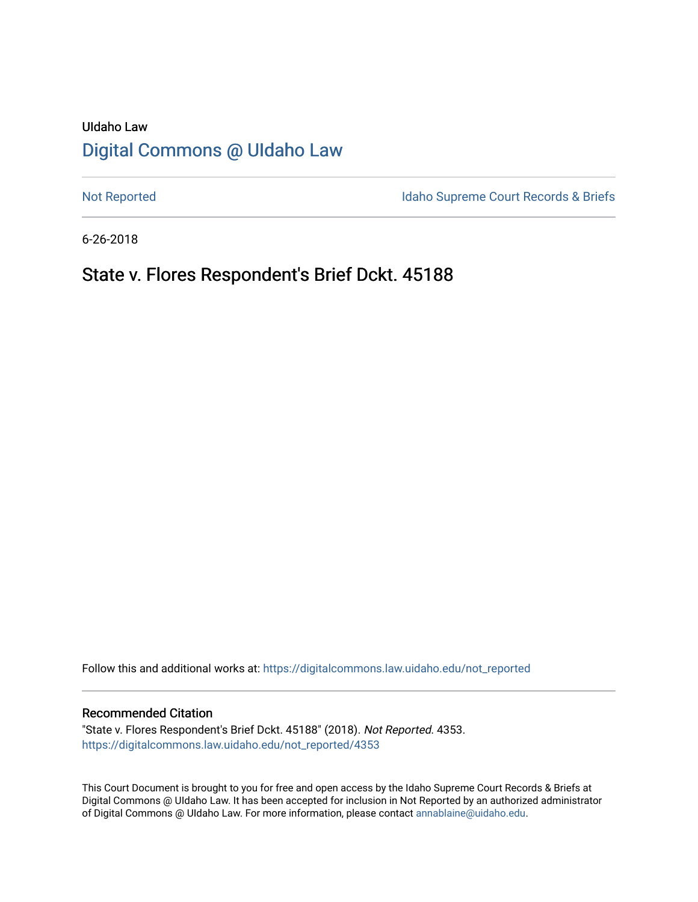# UIdaho Law [Digital Commons @ UIdaho Law](https://digitalcommons.law.uidaho.edu/)

[Not Reported](https://digitalcommons.law.uidaho.edu/not_reported) **Idaho Supreme Court Records & Briefs** 

6-26-2018

# State v. Flores Respondent's Brief Dckt. 45188

Follow this and additional works at: [https://digitalcommons.law.uidaho.edu/not\\_reported](https://digitalcommons.law.uidaho.edu/not_reported?utm_source=digitalcommons.law.uidaho.edu%2Fnot_reported%2F4353&utm_medium=PDF&utm_campaign=PDFCoverPages) 

### Recommended Citation

"State v. Flores Respondent's Brief Dckt. 45188" (2018). Not Reported. 4353. [https://digitalcommons.law.uidaho.edu/not\\_reported/4353](https://digitalcommons.law.uidaho.edu/not_reported/4353?utm_source=digitalcommons.law.uidaho.edu%2Fnot_reported%2F4353&utm_medium=PDF&utm_campaign=PDFCoverPages)

This Court Document is brought to you for free and open access by the Idaho Supreme Court Records & Briefs at Digital Commons @ UIdaho Law. It has been accepted for inclusion in Not Reported by an authorized administrator of Digital Commons @ UIdaho Law. For more information, please contact [annablaine@uidaho.edu](mailto:annablaine@uidaho.edu).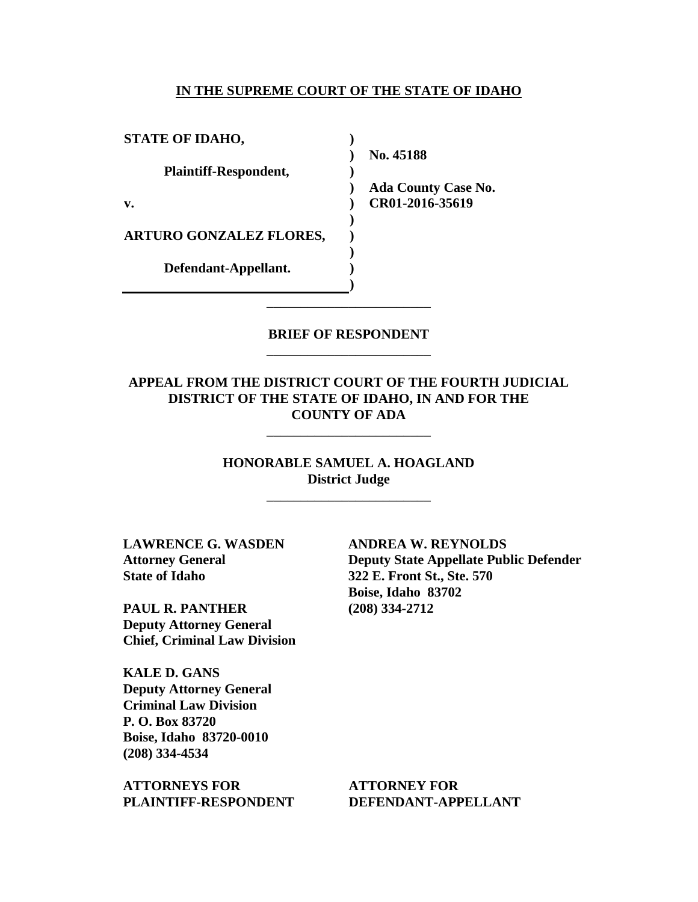### **IN THE SUPREME COURT OF THE STATE OF IDAHO**

| <b>STATE OF IDAHO,</b>         |                            |
|--------------------------------|----------------------------|
|                                | No. 45188                  |
| Plaintiff-Respondent,          |                            |
|                                | <b>Ada County Case No.</b> |
| v.                             | CR01-2016-35619            |
|                                |                            |
| <b>ARTURO GONZALEZ FLORES,</b> |                            |
|                                |                            |
| Defendant-Appellant.           |                            |
|                                |                            |

### **BRIEF OF RESPONDENT** \_\_\_\_\_\_\_\_\_\_\_\_\_\_\_\_\_\_\_\_\_\_\_\_

\_\_\_\_\_\_\_\_\_\_\_\_\_\_\_\_\_\_\_\_\_\_\_\_

## **APPEAL FROM THE DISTRICT COURT OF THE FOURTH JUDICIAL DISTRICT OF THE STATE OF IDAHO, IN AND FOR THE COUNTY OF ADA**

\_\_\_\_\_\_\_\_\_\_\_\_\_\_\_\_\_\_\_\_\_\_\_\_

**HONORABLE SAMUEL A. HOAGLAND District Judge**

\_\_\_\_\_\_\_\_\_\_\_\_\_\_\_\_\_\_\_\_\_\_\_\_

**LAWRENCE G. WASDEN Attorney General State of Idaho**

**PAUL R. PANTHER Deputy Attorney General Chief, Criminal Law Division**

**KALE D. GANS Deputy Attorney General Criminal Law Division P. O. Box 83720 Boise, Idaho 83720-0010 (208) 334-4534** 

**ATTORNEYS FOR PLAINTIFF-RESPONDENT** **ANDREA W. REYNOLDS Deputy State Appellate Public Defender 322 E. Front St., Ste. 570 Boise, Idaho 83702 (208) 334-2712** 

**ATTORNEY FOR DEFENDANT-APPELLANT**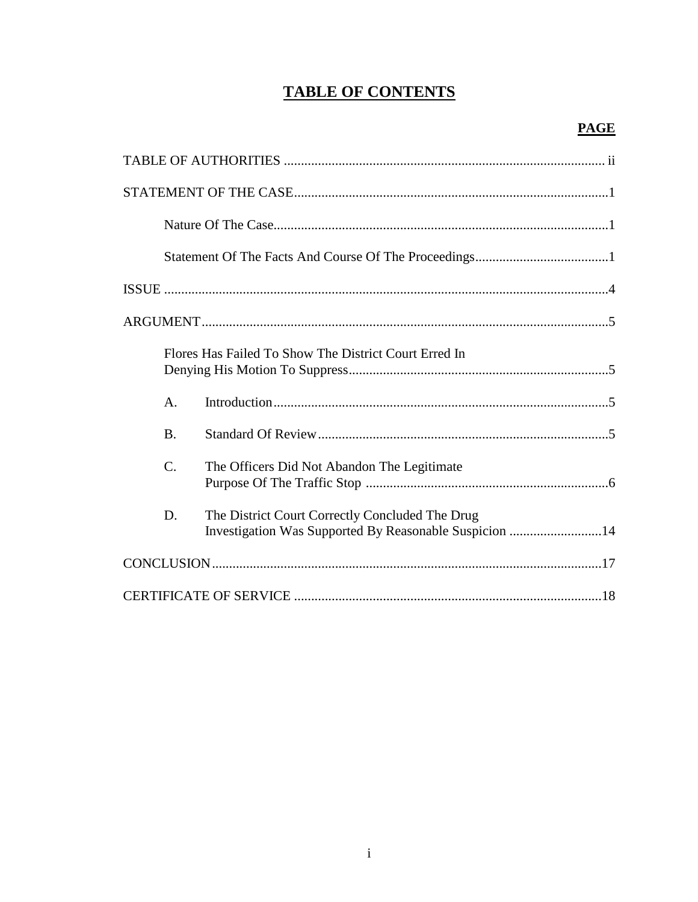# **TABLE OF CONTENTS**

| Flores Has Failed To Show The District Court Erred In                                                           |
|-----------------------------------------------------------------------------------------------------------------|
| A.                                                                                                              |
| <b>B.</b>                                                                                                       |
| $\mathcal{C}$ .<br>The Officers Did Not Abandon The Legitimate                                                  |
| The District Court Correctly Concluded The Drug<br>D.<br>Investigation Was Supported By Reasonable Suspicion 14 |
|                                                                                                                 |
|                                                                                                                 |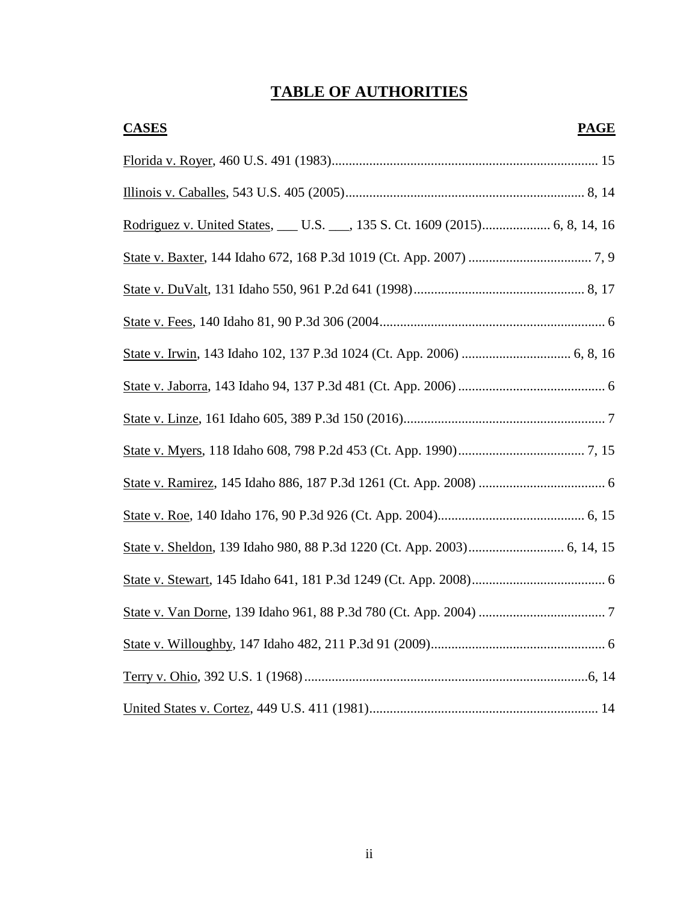# **TABLE OF AUTHORITIES**

| <b>CASES</b> | <b>PAGE</b> |
|--------------|-------------|
|              |             |
|              |             |
|              |             |
|              |             |
|              |             |
|              |             |
|              |             |
|              |             |
|              |             |
|              |             |
|              |             |
|              |             |
|              |             |
|              |             |
|              |             |
|              |             |
|              |             |
|              |             |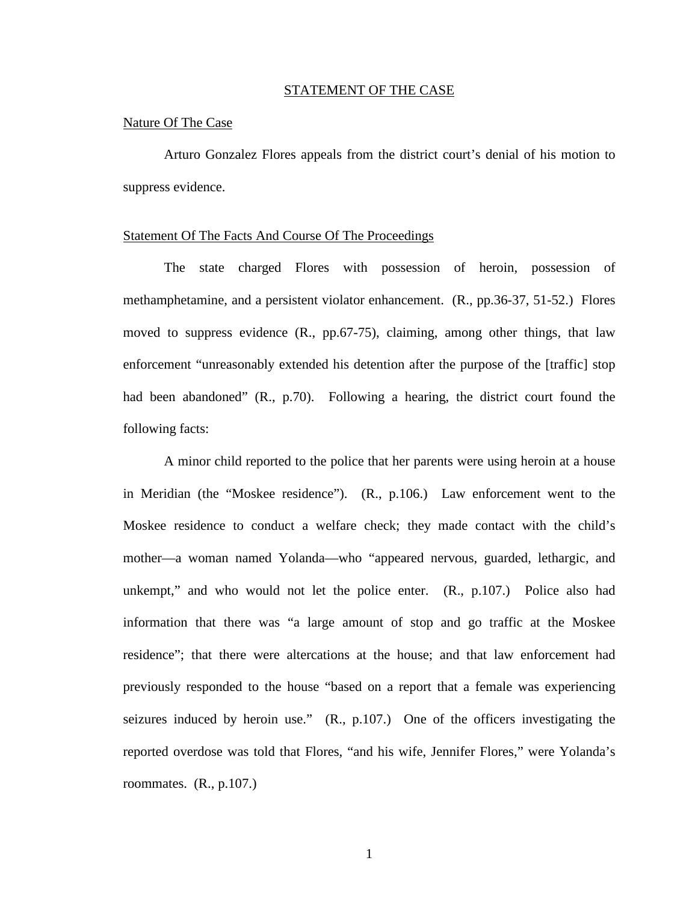#### STATEMENT OF THE CASE

### Nature Of The Case

Arturo Gonzalez Flores appeals from the district court's denial of his motion to suppress evidence.

### Statement Of The Facts And Course Of The Proceedings

The state charged Flores with possession of heroin, possession of methamphetamine, and a persistent violator enhancement. (R., pp.36-37, 51-52.) Flores moved to suppress evidence (R., pp.67-75), claiming, among other things, that law enforcement "unreasonably extended his detention after the purpose of the [traffic] stop had been abandoned" (R., p.70). Following a hearing, the district court found the following facts:

A minor child reported to the police that her parents were using heroin at a house in Meridian (the "Moskee residence"). (R., p.106.) Law enforcement went to the Moskee residence to conduct a welfare check; they made contact with the child's mother—a woman named Yolanda—who "appeared nervous, guarded, lethargic, and unkempt," and who would not let the police enter. (R., p.107.) Police also had information that there was "a large amount of stop and go traffic at the Moskee residence"; that there were altercations at the house; and that law enforcement had previously responded to the house "based on a report that a female was experiencing seizures induced by heroin use." (R., p.107.) One of the officers investigating the reported overdose was told that Flores, "and his wife, Jennifer Flores," were Yolanda's roommates. (R., p.107.)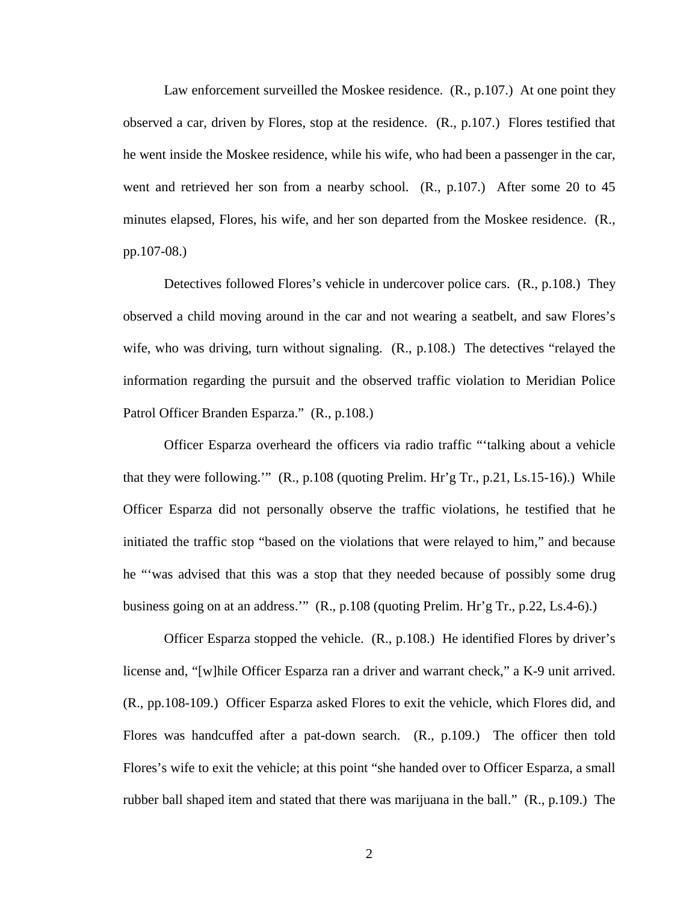Law enforcement surveilled the Moskee residence. (R., p.107.) At one point they observed a car, driven by Flores, stop at the residence. (R., p.107.) Flores testified that he went inside the Moskee residence, while his wife, who had been a passenger in the car, went and retrieved her son from a nearby school. (R., p.107.) After some 20 to 45 minutes elapsed, Flores, his wife, and her son departed from the Moskee residence. (R., pp.107-08.)

Detectives followed Flores's vehicle in undercover police cars. (R., p.108.) They observed a child moving around in the car and not wearing a seatbelt, and saw Flores's wife, who was driving, turn without signaling.  $(R, p.108)$  The detectives "relayed the information regarding the pursuit and the observed traffic violation to Meridian Police Patrol Officer Branden Esparza." (R., p.108.)

Officer Esparza overheard the officers via radio traffic "'talking about a vehicle that they were following."  $(R., p.108$  (quoting Prelim. Hr'g Tr., p.21, Ls.15-16).) While Officer Esparza did not personally observe the traffic violations, he testified that he initiated the traffic stop "based on the violations that were relayed to him," and because he "'was advised that this was a stop that they needed because of possibly some drug business going on at an address.'" (R., p.108 (quoting Prelim. Hr'g Tr., p.22, Ls.4-6).)

Officer Esparza stopped the vehicle. (R., p.108.) He identified Flores by driver's license and, "[w]hile Officer Esparza ran a driver and warrant check," a K-9 unit arrived. (R., pp.108-109.) Officer Esparza asked Flores to exit the vehicle, which Flores did, and Flores was handcuffed after a pat-down search. (R., p.109.) The officer then told Flores's wife to exit the vehicle; at this point "she handed over to Officer Esparza, a small rubber ball shaped item and stated that there was marijuana in the ball." (R., p.109.) The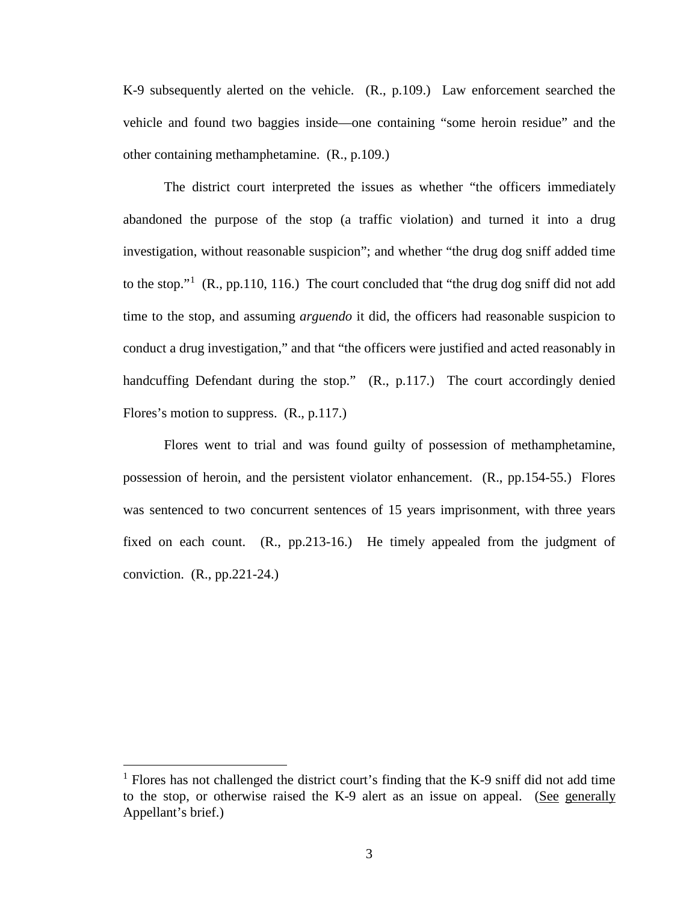K-9 subsequently alerted on the vehicle. (R., p.109.) Law enforcement searched the vehicle and found two baggies inside—one containing "some heroin residue" and the other containing methamphetamine. (R., p.109.)

The district court interpreted the issues as whether "the officers immediately abandoned the purpose of the stop (a traffic violation) and turned it into a drug investigation, without reasonable suspicion"; and whether "the drug dog sniff added time to the stop."<sup>[1](#page-6-0)</sup> (R., pp.110, 116.) The court concluded that "the drug dog sniff did not add time to the stop, and assuming *arguendo* it did, the officers had reasonable suspicion to conduct a drug investigation," and that "the officers were justified and acted reasonably in handcuffing Defendant during the stop." (R., p.117.) The court accordingly denied Flores's motion to suppress. (R., p.117.)

Flores went to trial and was found guilty of possession of methamphetamine, possession of heroin, and the persistent violator enhancement. (R., pp.154-55.) Flores was sentenced to two concurrent sentences of 15 years imprisonment, with three years fixed on each count. (R., pp.213-16.) He timely appealed from the judgment of conviction. (R., pp.221-24.)

 $\overline{a}$ 

<span id="page-6-0"></span> $<sup>1</sup>$  Flores has not challenged the district court's finding that the K-9 sniff did not add time</sup> to the stop, or otherwise raised the K-9 alert as an issue on appeal. (See generally Appellant's brief.)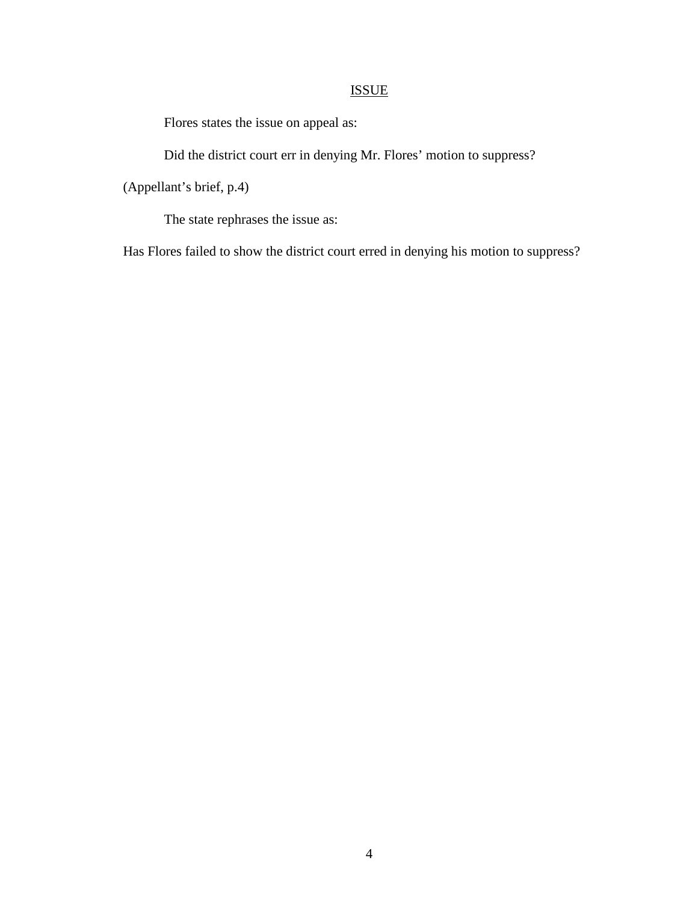# ISSUE

Flores states the issue on appeal as:

Did the district court err in denying Mr. Flores' motion to suppress?

(Appellant's brief, p.4)

The state rephrases the issue as:

Has Flores failed to show the district court erred in denying his motion to suppress?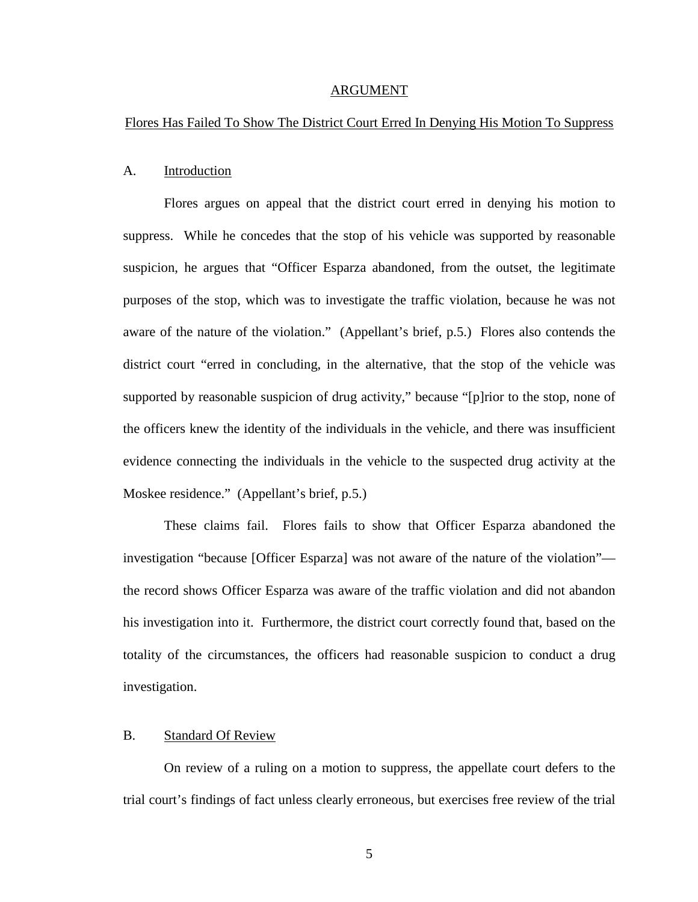#### ARGUMENT

### Flores Has Failed To Show The District Court Erred In Denying His Motion To Suppress

### A. Introduction

Flores argues on appeal that the district court erred in denying his motion to suppress. While he concedes that the stop of his vehicle was supported by reasonable suspicion, he argues that "Officer Esparza abandoned, from the outset, the legitimate purposes of the stop, which was to investigate the traffic violation, because he was not aware of the nature of the violation." (Appellant's brief, p.5.) Flores also contends the district court "erred in concluding, in the alternative, that the stop of the vehicle was supported by reasonable suspicion of drug activity," because "[p]rior to the stop, none of the officers knew the identity of the individuals in the vehicle, and there was insufficient evidence connecting the individuals in the vehicle to the suspected drug activity at the Moskee residence." (Appellant's brief, p.5.)

These claims fail. Flores fails to show that Officer Esparza abandoned the investigation "because [Officer Esparza] was not aware of the nature of the violation" the record shows Officer Esparza was aware of the traffic violation and did not abandon his investigation into it. Furthermore, the district court correctly found that, based on the totality of the circumstances, the officers had reasonable suspicion to conduct a drug investigation.

### B. Standard Of Review

On review of a ruling on a motion to suppress, the appellate court defers to the trial court's findings of fact unless clearly erroneous, but exercises free review of the trial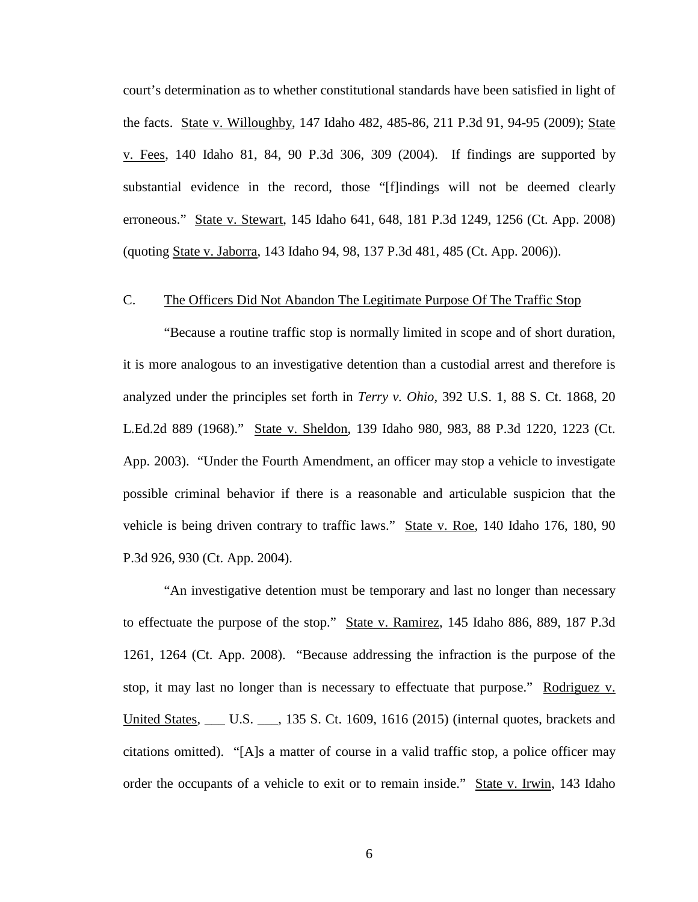court's determination as to whether constitutional standards have been satisfied in light of the facts. State v. Willoughby, 147 Idaho 482, 485-86, 211 P.3d 91, 94-95 (2009); State v. Fees, 140 Idaho 81, 84, 90 P.3d 306, 309 (2004). If findings are supported by substantial evidence in the record, those "[f]indings will not be deemed clearly erroneous." State v. Stewart, 145 Idaho 641, 648, 181 P.3d 1249, 1256 (Ct. App. 2008) (quoting State v. Jaborra, 143 Idaho 94, 98, 137 P.3d 481, 485 (Ct. App. 2006)).

### C. The Officers Did Not Abandon The Legitimate Purpose Of The Traffic Stop

"Because a routine traffic stop is normally limited in scope and of short duration, it is more analogous to an investigative detention than a custodial arrest and therefore is analyzed under the principles set forth in *Terry v. Ohio,* 392 U.S. 1, 88 S. Ct. 1868, 20 L.Ed.2d 889 (1968)." State v. Sheldon, 139 Idaho 980, 983, 88 P.3d 1220, 1223 (Ct. App. 2003). "Under the Fourth Amendment, an officer may stop a vehicle to investigate possible criminal behavior if there is a reasonable and articulable suspicion that the vehicle is being driven contrary to traffic laws." State v. Roe, 140 Idaho 176, 180, 90 P.3d 926, 930 (Ct. App. 2004).

"An investigative detention must be temporary and last no longer than necessary to effectuate the purpose of the stop." State v. Ramirez, 145 Idaho 886, 889, 187 P.3d 1261, 1264 (Ct. App. 2008). "Because addressing the infraction is the purpose of the stop, it may last no longer than is necessary to effectuate that purpose." Rodriguez v. United States, \_\_\_ U.S. \_\_\_, 135 S. Ct. 1609, 1616 (2015) (internal quotes, brackets and citations omitted). "[A]s a matter of course in a valid traffic stop, a police officer may order the occupants of a vehicle to exit or to remain inside." State v. Irwin, 143 Idaho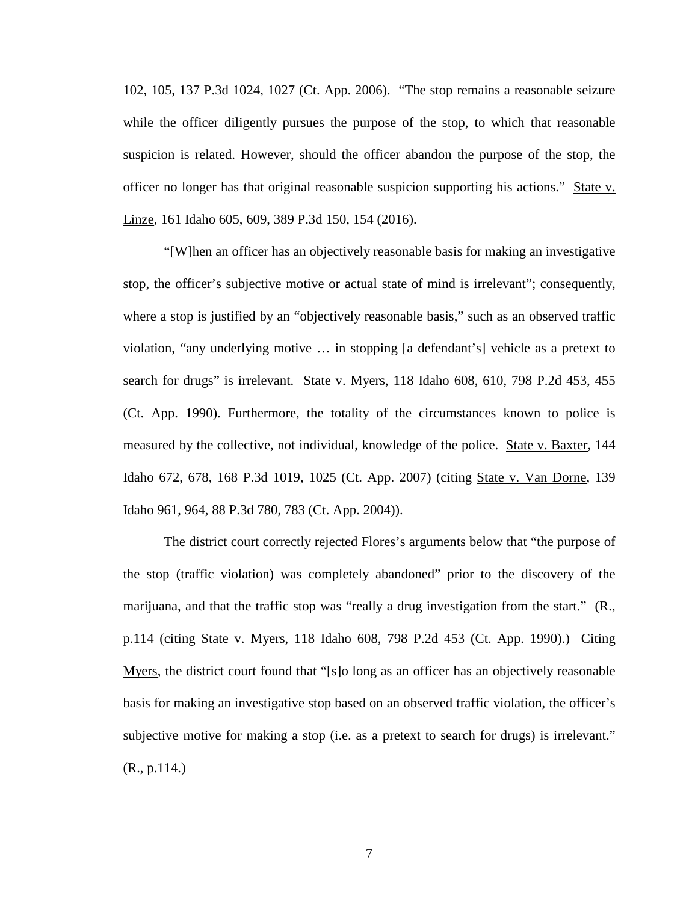102, 105, 137 P.3d 1024, 1027 (Ct. App. 2006). "The stop remains a reasonable seizure while the officer diligently pursues the purpose of the stop, to which that reasonable suspicion is related. However, should the officer abandon the purpose of the stop, the officer no longer has that original reasonable suspicion supporting his actions." State v. Linze, 161 Idaho 605, 609, 389 P.3d 150, 154 (2016).

"[W]hen an officer has an objectively reasonable basis for making an investigative stop, the officer's subjective motive or actual state of mind is irrelevant"; consequently, where a stop is justified by an "objectively reasonable basis," such as an observed traffic violation, "any underlying motive … in stopping [a defendant's] vehicle as a pretext to search for drugs" is irrelevant. State v. Myers, 118 Idaho 608, 610, 798 P.2d 453, 455 (Ct. App. 1990). Furthermore, the totality of the circumstances known to police is measured by the collective, not individual, knowledge of the police. State v. Baxter, 144 Idaho 672, 678, 168 P.3d 1019, 1025 (Ct. App. 2007) (citing State v. Van Dorne, 139 Idaho 961, 964, 88 P.3d 780, 783 (Ct. App. 2004)).

The district court correctly rejected Flores's arguments below that "the purpose of the stop (traffic violation) was completely abandoned" prior to the discovery of the marijuana, and that the traffic stop was "really a drug investigation from the start." (R., p.114 (citing State v. Myers, 118 Idaho 608, 798 P.2d 453 (Ct. App. 1990).) Citing Myers, the district court found that "[s]o long as an officer has an objectively reasonable basis for making an investigative stop based on an observed traffic violation, the officer's subjective motive for making a stop (i.e. as a pretext to search for drugs) is irrelevant." (R., p.114.)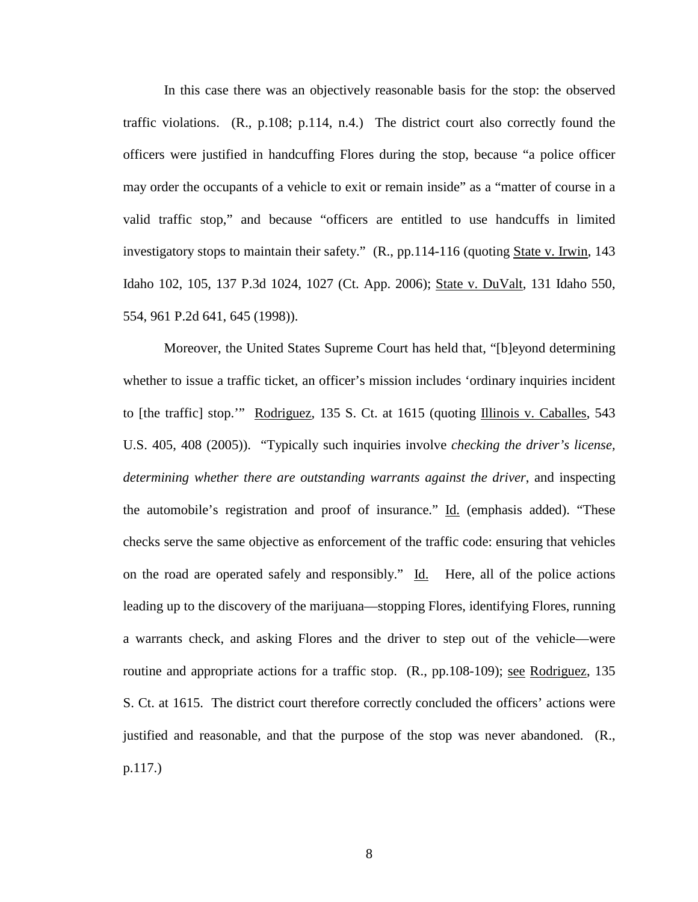In this case there was an objectively reasonable basis for the stop: the observed traffic violations. (R., p.108; p.114, n.4.) The district court also correctly found the officers were justified in handcuffing Flores during the stop, because "a police officer may order the occupants of a vehicle to exit or remain inside" as a "matter of course in a valid traffic stop," and because "officers are entitled to use handcuffs in limited investigatory stops to maintain their safety." (R., pp.114-116 (quoting State v. Irwin, 143) Idaho 102, 105, 137 P.3d 1024, 1027 (Ct. App. 2006); State v. DuValt, 131 Idaho 550, 554, 961 P.2d 641, 645 (1998)).

Moreover, the United States Supreme Court has held that, "[b]eyond determining whether to issue a traffic ticket, an officer's mission includes 'ordinary inquiries incident to [the traffic] stop."" Rodriguez, 135 S. Ct. at 1615 (quoting Illinois v. Caballes, 543 U.S. 405, 408 (2005)). "Typically such inquiries involve *checking the driver's license, determining whether there are outstanding warrants against the driver*, and inspecting the automobile's registration and proof of insurance." Id. (emphasis added). "These checks serve the same objective as enforcement of the traffic code: ensuring that vehicles on the road are operated safely and responsibly." Id. Here, all of the police actions leading up to the discovery of the marijuana—stopping Flores, identifying Flores, running a warrants check, and asking Flores and the driver to step out of the vehicle—were routine and appropriate actions for a traffic stop. (R., pp.108-109); see Rodriguez, 135 S. Ct. at 1615. The district court therefore correctly concluded the officers' actions were justified and reasonable, and that the purpose of the stop was never abandoned. (R., p.117.)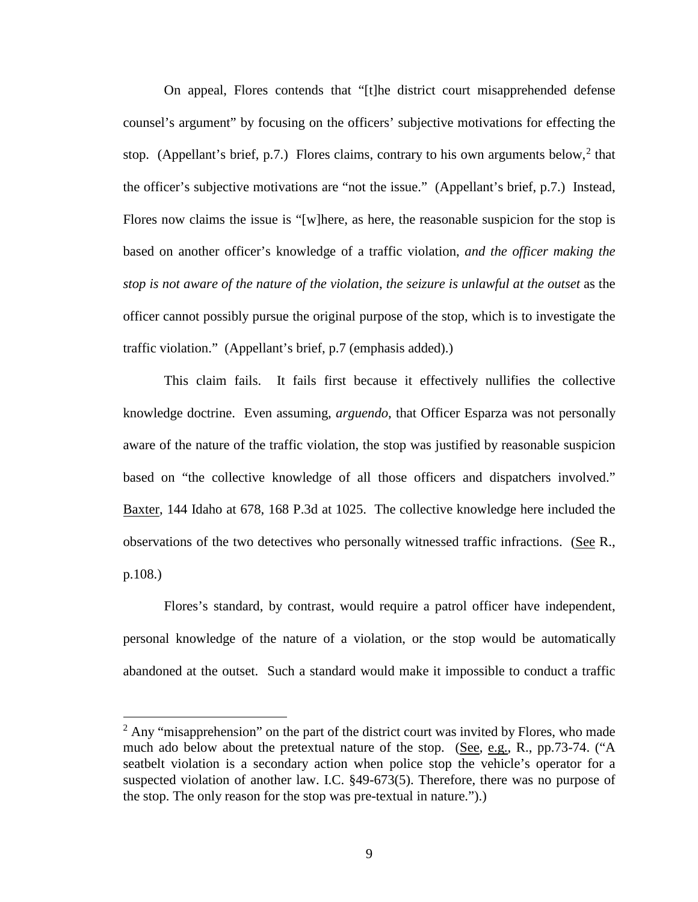On appeal, Flores contends that "[t]he district court misapprehended defense counsel's argument" by focusing on the officers' subjective motivations for effecting the stop. (Appellant's brief, p.7.) Flores claims, contrary to his own arguments below,<sup>[2](#page-12-0)</sup> that the officer's subjective motivations are "not the issue." (Appellant's brief, p.7.) Instead, Flores now claims the issue is "[w]here, as here, the reasonable suspicion for the stop is based on another officer's knowledge of a traffic violation, *and the officer making the stop is not aware of the nature of the violation*, *the seizure is unlawful at the outset* as the officer cannot possibly pursue the original purpose of the stop, which is to investigate the traffic violation." (Appellant's brief, p.7 (emphasis added).)

This claim fails. It fails first because it effectively nullifies the collective knowledge doctrine. Even assuming, *arguendo*, that Officer Esparza was not personally aware of the nature of the traffic violation, the stop was justified by reasonable suspicion based on "the collective knowledge of all those officers and dispatchers involved." Baxter, 144 Idaho at 678, 168 P.3d at 1025. The collective knowledge here included the observations of the two detectives who personally witnessed traffic infractions. (See R., p.108.)

Flores's standard, by contrast, would require a patrol officer have independent, personal knowledge of the nature of a violation, or the stop would be automatically abandoned at the outset. Such a standard would make it impossible to conduct a traffic

 $\overline{a}$ 

<span id="page-12-0"></span> $2$  Any "misapprehension" on the part of the district court was invited by Flores, who made much ado below about the pretextual nature of the stop. (See, e.g., R., pp.73-74. ("A seatbelt violation is a secondary action when police stop the vehicle's operator for a suspected violation of another law. I.C. §49-673(5). Therefore, there was no purpose of the stop. The only reason for the stop was pre-textual in nature.").)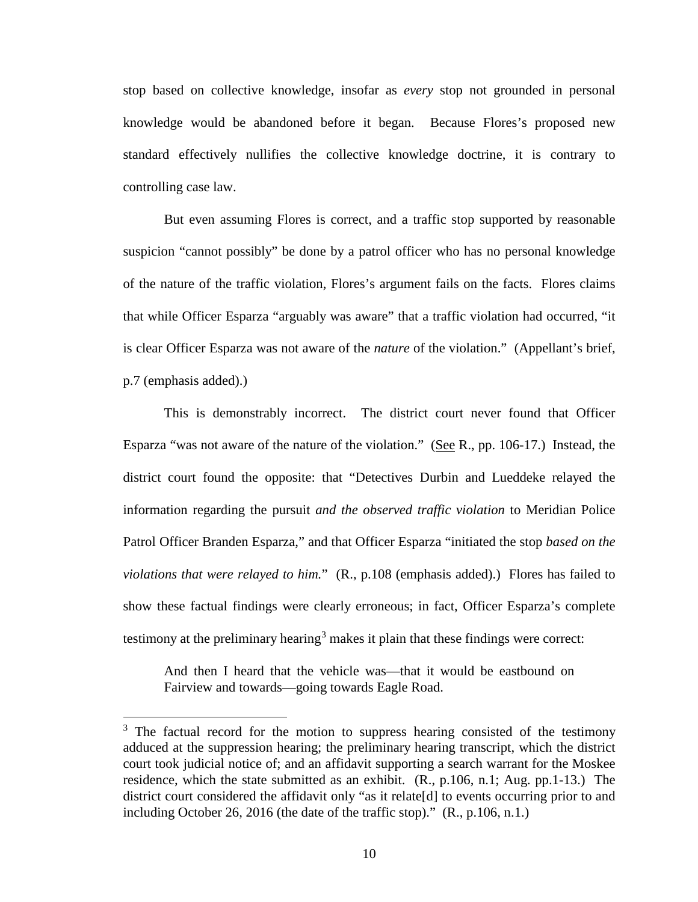stop based on collective knowledge, insofar as *every* stop not grounded in personal knowledge would be abandoned before it began. Because Flores's proposed new standard effectively nullifies the collective knowledge doctrine, it is contrary to controlling case law.

But even assuming Flores is correct, and a traffic stop supported by reasonable suspicion "cannot possibly" be done by a patrol officer who has no personal knowledge of the nature of the traffic violation, Flores's argument fails on the facts. Flores claims that while Officer Esparza "arguably was aware" that a traffic violation had occurred, "it is clear Officer Esparza was not aware of the *nature* of the violation." (Appellant's brief, p.7 (emphasis added).)

This is demonstrably incorrect. The district court never found that Officer Esparza "was not aware of the nature of the violation." (See R., pp. 106-17.) Instead, the district court found the opposite: that "Detectives Durbin and Lueddeke relayed the information regarding the pursuit *and the observed traffic violation* to Meridian Police Patrol Officer Branden Esparza," and that Officer Esparza "initiated the stop *based on the violations that were relayed to him.*" (R., p.108 (emphasis added).) Flores has failed to show these factual findings were clearly erroneous; in fact, Officer Esparza's complete testimony at the preliminary hearing<sup>[3](#page-13-0)</sup> makes it plain that these findings were correct:

And then I heard that the vehicle was—that it would be eastbound on Fairview and towards—going towards Eagle Road.

 $\overline{a}$ 

<span id="page-13-0"></span> $3$  The factual record for the motion to suppress hearing consisted of the testimony adduced at the suppression hearing; the preliminary hearing transcript, which the district court took judicial notice of; and an affidavit supporting a search warrant for the Moskee residence, which the state submitted as an exhibit. (R., p.106, n.1; Aug. pp.1-13.) The district court considered the affidavit only "as it relate [d] to events occurring prior to and including October 26, 2016 (the date of the traffic stop)." (R., p.106, n.1.)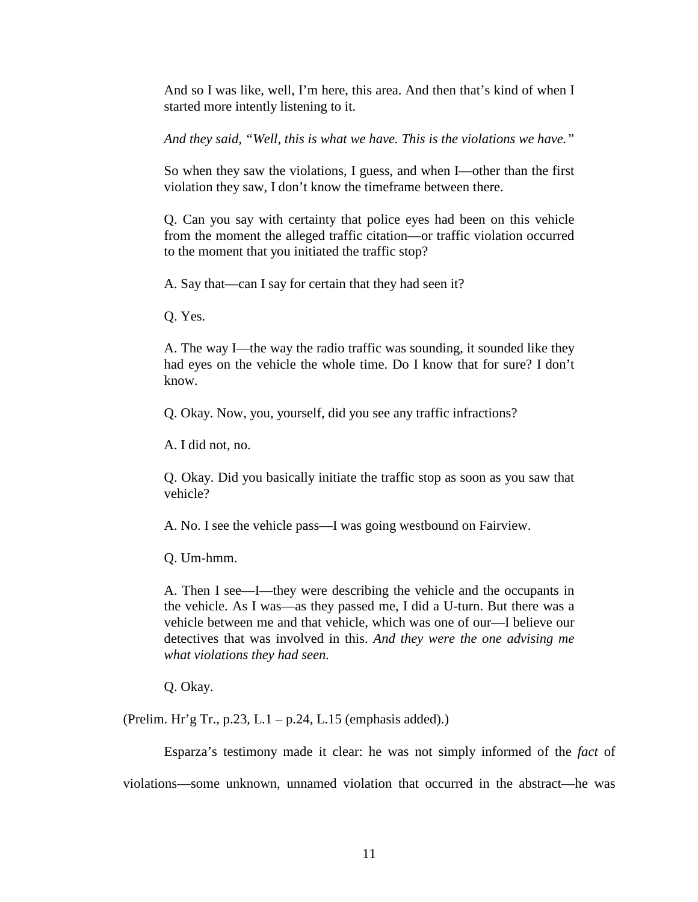And so I was like, well, I'm here, this area. And then that's kind of when I started more intently listening to it.

*And they said, "Well, this is what we have. This is the violations we have."* 

So when they saw the violations, I guess, and when I—other than the first violation they saw, I don't know the timeframe between there.

Q. Can you say with certainty that police eyes had been on this vehicle from the moment the alleged traffic citation—or traffic violation occurred to the moment that you initiated the traffic stop?

A. Say that—can I say for certain that they had seen it?

Q. Yes.

A. The way I—the way the radio traffic was sounding, it sounded like they had eyes on the vehicle the whole time. Do I know that for sure? I don't know.

Q. Okay. Now, you, yourself, did you see any traffic infractions?

A. I did not, no.

Q. Okay. Did you basically initiate the traffic stop as soon as you saw that vehicle?

A. No. I see the vehicle pass—I was going westbound on Fairview.

Q. Um-hmm.

A. Then I see—I—they were describing the vehicle and the occupants in the vehicle. As I was—as they passed me, I did a U-turn. But there was a vehicle between me and that vehicle, which was one of our—I believe our detectives that was involved in this. *And they were the one advising me what violations they had seen.* 

Q. Okay.

(Prelim. Hr'g Tr., p.23, L.1 – p.24, L.15 (emphasis added).)

Esparza's testimony made it clear: he was not simply informed of the *fact* of violations—some unknown, unnamed violation that occurred in the abstract—he was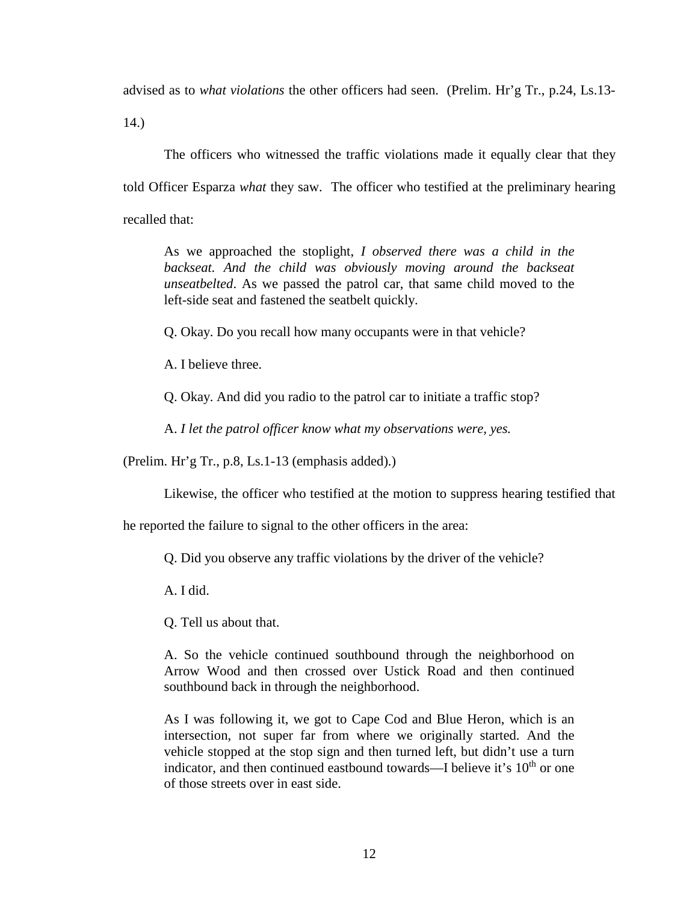advised as to *what violations* the other officers had seen. (Prelim. Hr'g Tr., p.24, Ls.13-

14.)

The officers who witnessed the traffic violations made it equally clear that they told Officer Esparza *what* they saw. The officer who testified at the preliminary hearing recalled that:

As we approached the stoplight, *I observed there was a child in the*  backseat. And the child was obviously moving around the backseat *unseatbelted*. As we passed the patrol car, that same child moved to the left-side seat and fastened the seatbelt quickly.

Q. Okay. Do you recall how many occupants were in that vehicle?

A. I believe three.

Q. Okay. And did you radio to the patrol car to initiate a traffic stop?

A. *I let the patrol officer know what my observations were, yes.* 

(Prelim. Hr'g Tr., p.8, Ls.1-13 (emphasis added).)

Likewise, the officer who testified at the motion to suppress hearing testified that

he reported the failure to signal to the other officers in the area:

Q. Did you observe any traffic violations by the driver of the vehicle?

A. I did.

Q. Tell us about that.

A. So the vehicle continued southbound through the neighborhood on Arrow Wood and then crossed over Ustick Road and then continued southbound back in through the neighborhood.

As I was following it, we got to Cape Cod and Blue Heron, which is an intersection, not super far from where we originally started. And the vehicle stopped at the stop sign and then turned left, but didn't use a turn indicator, and then continued eastbound towards—I believe it's  $10<sup>th</sup>$  or one of those streets over in east side.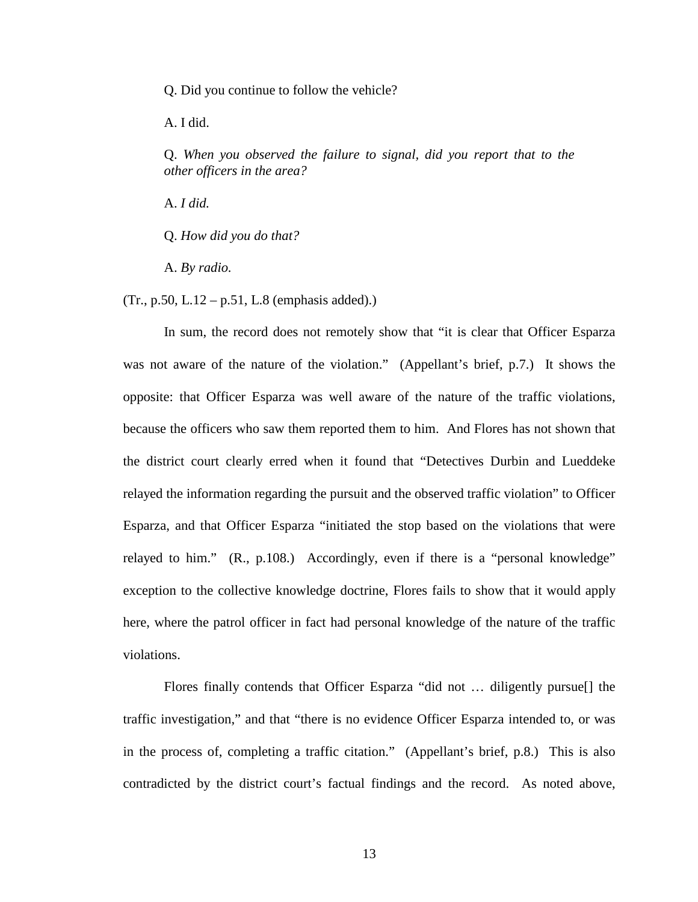Q. Did you continue to follow the vehicle?

A. I did.

Q. *When you observed the failure to signal, did you report that to the other officers in the area?* 

A. *I did.* 

Q. *How did you do that?* 

A. *By radio.*

 $(Tr., p.50, L.12 - p.51, L.8$  (emphasis added).)

In sum, the record does not remotely show that "it is clear that Officer Esparza was not aware of the nature of the violation." (Appellant's brief, p.7.) It shows the opposite: that Officer Esparza was well aware of the nature of the traffic violations, because the officers who saw them reported them to him. And Flores has not shown that the district court clearly erred when it found that "Detectives Durbin and Lueddeke relayed the information regarding the pursuit and the observed traffic violation" to Officer Esparza, and that Officer Esparza "initiated the stop based on the violations that were relayed to him." (R., p.108.) Accordingly, even if there is a "personal knowledge" exception to the collective knowledge doctrine, Flores fails to show that it would apply here, where the patrol officer in fact had personal knowledge of the nature of the traffic violations.

Flores finally contends that Officer Esparza "did not … diligently pursue[] the traffic investigation," and that "there is no evidence Officer Esparza intended to, or was in the process of, completing a traffic citation." (Appellant's brief, p.8.) This is also contradicted by the district court's factual findings and the record. As noted above,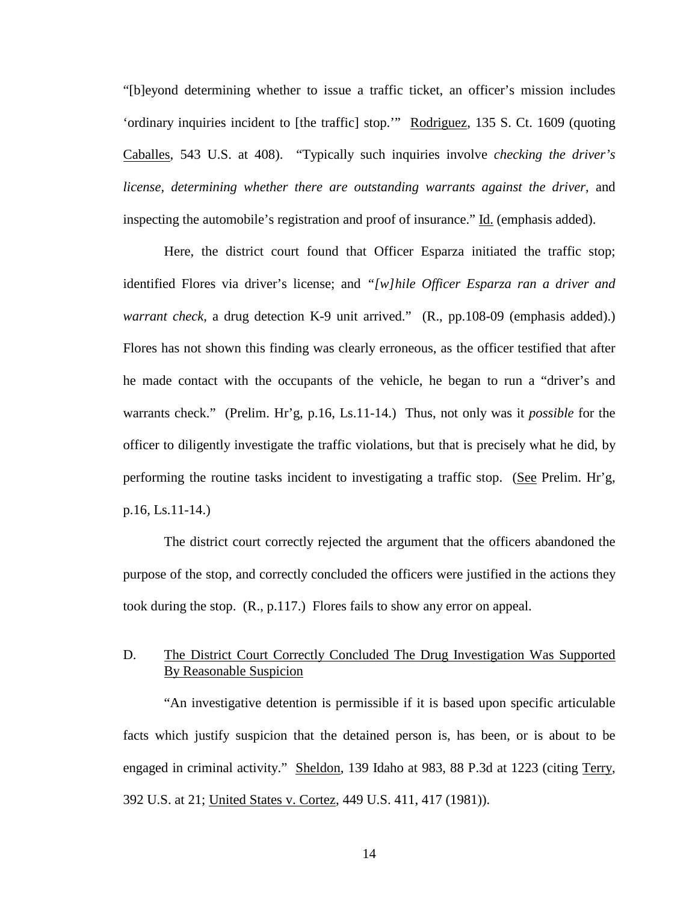"[b]eyond determining whether to issue a traffic ticket, an officer's mission includes 'ordinary inquiries incident to [the traffic] stop.'" Rodriguez, 135 S. Ct. 1609 (quoting Caballes, 543 U.S. at 408). "Typically such inquiries involve *checking the driver's license, determining whether there are outstanding warrants against the driver*, and inspecting the automobile's registration and proof of insurance." Id. (emphasis added).

Here, the district court found that Officer Esparza initiated the traffic stop; identified Flores via driver's license; and *"[w]hile Officer Esparza ran a driver and warrant check*, a drug detection K-9 unit arrived." (R., pp.108-09 (emphasis added).) Flores has not shown this finding was clearly erroneous, as the officer testified that after he made contact with the occupants of the vehicle, he began to run a "driver's and warrants check." (Prelim. Hr'g, p.16, Ls.11-14.) Thus, not only was it *possible* for the officer to diligently investigate the traffic violations, but that is precisely what he did, by performing the routine tasks incident to investigating a traffic stop. (See Prelim. Hr'g, p.16, Ls.11-14.)

The district court correctly rejected the argument that the officers abandoned the purpose of the stop, and correctly concluded the officers were justified in the actions they took during the stop. (R., p.117.) Flores fails to show any error on appeal.

## D. The District Court Correctly Concluded The Drug Investigation Was Supported By Reasonable Suspicion

"An investigative detention is permissible if it is based upon specific articulable facts which justify suspicion that the detained person is, has been, or is about to be engaged in criminal activity." Sheldon, 139 Idaho at 983, 88 P.3d at 1223 (citing Terry, 392 U.S. at 21; United States v. Cortez, 449 U.S. 411, 417 (1981)).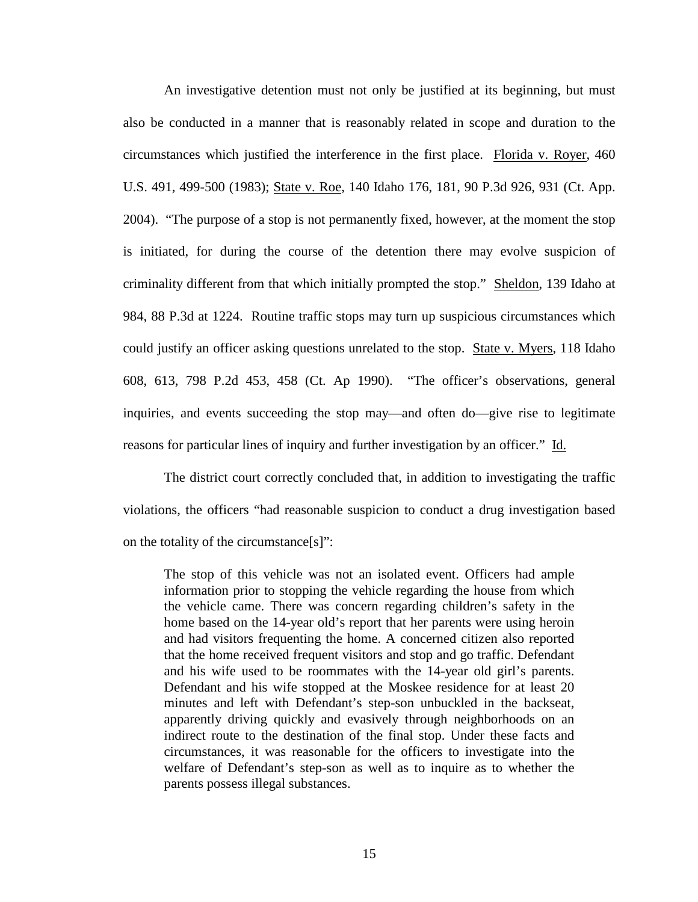An investigative detention must not only be justified at its beginning, but must also be conducted in a manner that is reasonably related in scope and duration to the circumstances which justified the interference in the first place. Florida v. Royer, 460 U.S. 491, 499-500 (1983); State v. Roe, 140 Idaho 176, 181, 90 P.3d 926, 931 (Ct. App. 2004). "The purpose of a stop is not permanently fixed, however, at the moment the stop is initiated, for during the course of the detention there may evolve suspicion of criminality different from that which initially prompted the stop." Sheldon, 139 Idaho at 984, 88 P.3d at 1224. Routine traffic stops may turn up suspicious circumstances which could justify an officer asking questions unrelated to the stop. State v. Myers, 118 Idaho 608, 613, 798 P.2d 453, 458 (Ct. Ap 1990). "The officer's observations, general inquiries, and events succeeding the stop may—and often do—give rise to legitimate reasons for particular lines of inquiry and further investigation by an officer." Id.

The district court correctly concluded that, in addition to investigating the traffic violations, the officers "had reasonable suspicion to conduct a drug investigation based on the totality of the circumstance[s]":

The stop of this vehicle was not an isolated event. Officers had ample information prior to stopping the vehicle regarding the house from which the vehicle came. There was concern regarding children's safety in the home based on the 14-year old's report that her parents were using heroin and had visitors frequenting the home. A concerned citizen also reported that the home received frequent visitors and stop and go traffic. Defendant and his wife used to be roommates with the 14-year old girl's parents. Defendant and his wife stopped at the Moskee residence for at least 20 minutes and left with Defendant's step-son unbuckled in the backseat, apparently driving quickly and evasively through neighborhoods on an indirect route to the destination of the final stop. Under these facts and circumstances, it was reasonable for the officers to investigate into the welfare of Defendant's step-son as well as to inquire as to whether the parents possess illegal substances.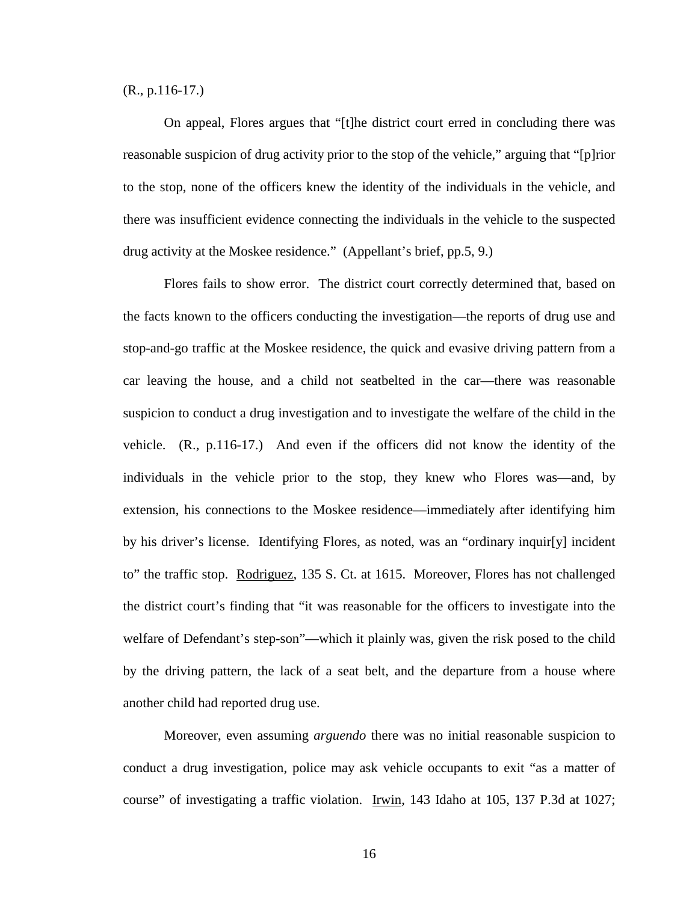(R., p.116-17.)

On appeal, Flores argues that "[t]he district court erred in concluding there was reasonable suspicion of drug activity prior to the stop of the vehicle," arguing that "[p]rior to the stop, none of the officers knew the identity of the individuals in the vehicle, and there was insufficient evidence connecting the individuals in the vehicle to the suspected drug activity at the Moskee residence." (Appellant's brief, pp.5, 9.)

Flores fails to show error. The district court correctly determined that, based on the facts known to the officers conducting the investigation—the reports of drug use and stop-and-go traffic at the Moskee residence, the quick and evasive driving pattern from a car leaving the house, and a child not seatbelted in the car—there was reasonable suspicion to conduct a drug investigation and to investigate the welfare of the child in the vehicle. (R., p.116-17.) And even if the officers did not know the identity of the individuals in the vehicle prior to the stop, they knew who Flores was—and, by extension, his connections to the Moskee residence—immediately after identifying him by his driver's license. Identifying Flores, as noted, was an "ordinary inquir[y] incident to" the traffic stop. Rodriguez, 135 S. Ct. at 1615. Moreover, Flores has not challenged the district court's finding that "it was reasonable for the officers to investigate into the welfare of Defendant's step-son"—which it plainly was, given the risk posed to the child by the driving pattern, the lack of a seat belt, and the departure from a house where another child had reported drug use.

Moreover, even assuming *arguendo* there was no initial reasonable suspicion to conduct a drug investigation, police may ask vehicle occupants to exit "as a matter of course" of investigating a traffic violation. Irwin, 143 Idaho at 105, 137 P.3d at 1027;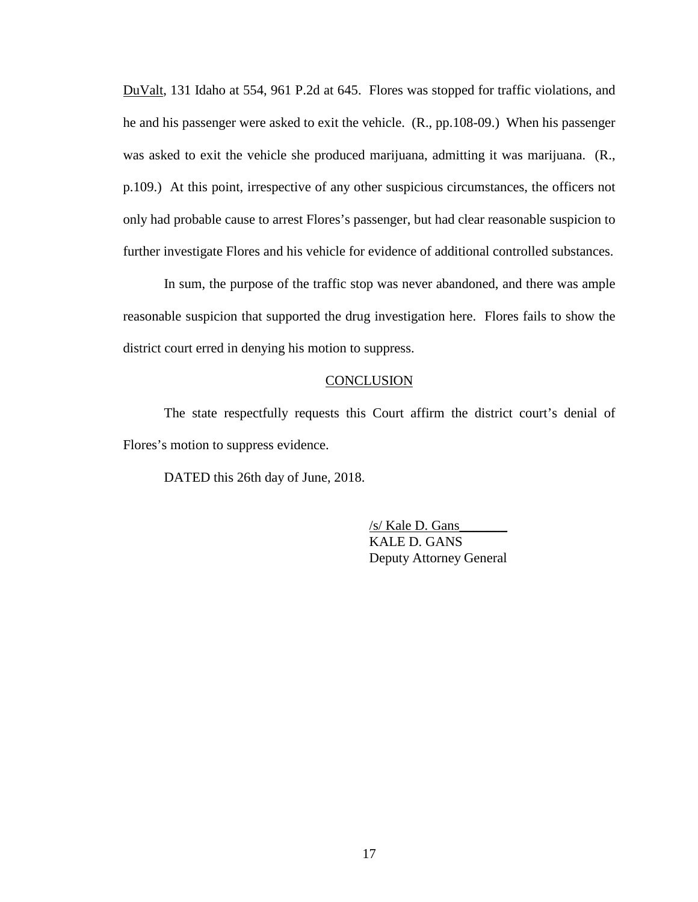DuValt, 131 Idaho at 554, 961 P.2d at 645. Flores was stopped for traffic violations, and he and his passenger were asked to exit the vehicle. (R., pp.108-09.) When his passenger was asked to exit the vehicle she produced marijuana, admitting it was marijuana. (R., p.109.) At this point, irrespective of any other suspicious circumstances, the officers not only had probable cause to arrest Flores's passenger, but had clear reasonable suspicion to further investigate Flores and his vehicle for evidence of additional controlled substances.

In sum, the purpose of the traffic stop was never abandoned, and there was ample reasonable suspicion that supported the drug investigation here. Flores fails to show the district court erred in denying his motion to suppress.

### **CONCLUSION**

The state respectfully requests this Court affirm the district court's denial of Flores's motion to suppress evidence.

DATED this 26th day of June, 2018.

/s/ Kale D. Gans\_\_\_\_\_\_\_ KALE D. GANS Deputy Attorney General